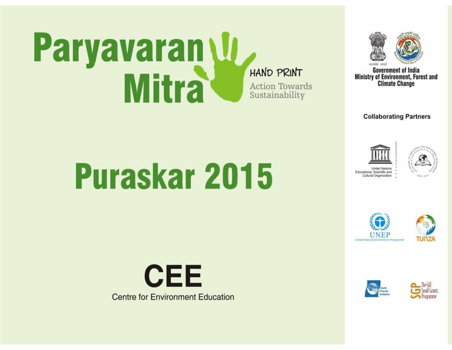# Paryavaran U **Mitra**

**HAND PRINT** 

**Action Towards** Sustainability



**Government of India** Ministry of Environment, Forest and **Climate Change** 

**Collaborating Partners** 





**INEP** 





**Puraskar 2015** 



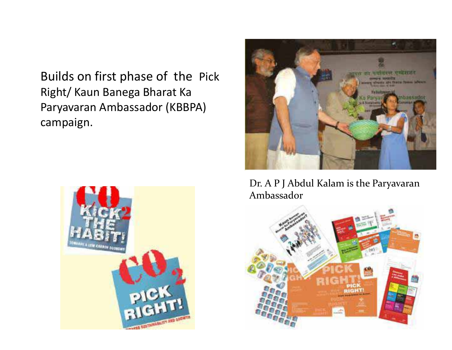Builds on first phase of the Pick Right/ Kaun Banega Bharat Ka Paryavaran Ambassador (KBBPA) campaign.





Dr. A P J Abdul Kalam is the Paryavaran Ambassador

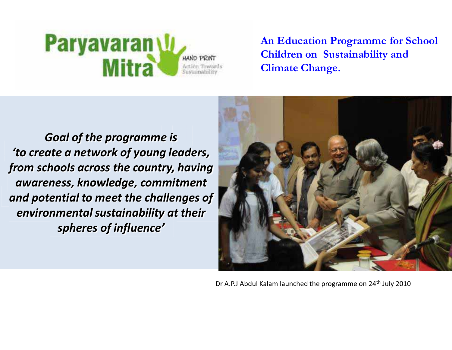#### **Paryavaran U** HAND PRINT **Mitra** Action Toward Sustainability

**An Education Programme for School Children on Sustainability and Climate Change.** 

*Goal of the programme is <u><sup>'</sup>to create a network of young leaders,</u> from schools across the country, having awareness, knowledge, commitment and potential to meet the challenges of environmental sustainability at their spheres of influence'* 



Dr A.P.J Abdul Kalam launched the programme on 24<sup>th</sup> July 2010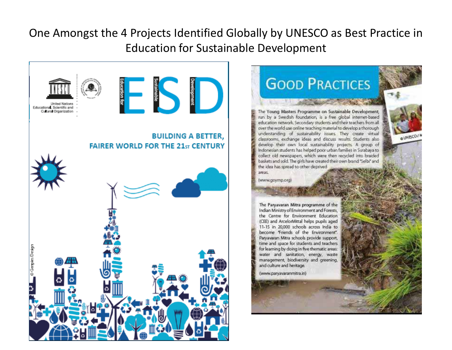#### One Amongst the 4 Projects Identified Globally by UNESCO as Best Practice in Education for Sustainable Development

**OUNISCO/N** 

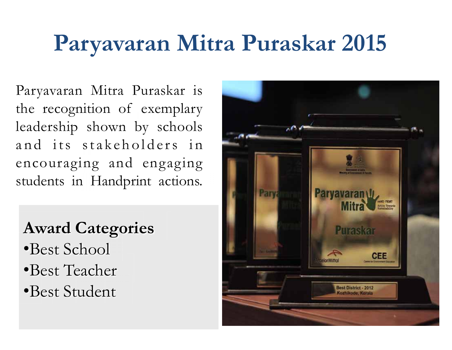### **Paryavaran Mitra Puraskar 2015**

Paryavaran Mitra Puraskar is the recognition of exemplary leadership shown by schools and its stakeholders in encouraging and engaging students in Handprint actions.

### **Award Categories**

- Best School
- Best Teacher
- Best Student

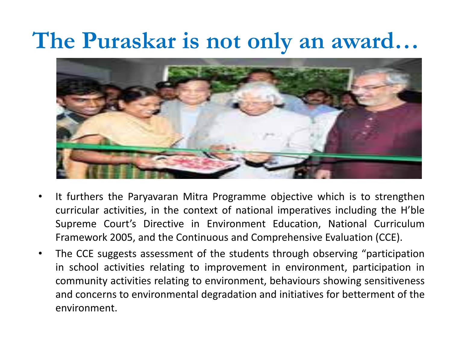### The Puraskar is not only an award...



- $\bullet$  It furthers the Paryavaran Mitra Programme objective which is to strengthen curricular activities, in the context of national imperatives including the H'ble Supreme Court's Directive in Environment Education, National Curriculum Framework 2005, and the Continuous and Comprehensive Evaluation (CCE).
- $\bullet$ The CCE suggests assessment of the students through observing "participation in school activities relating to improvement in environment, participation in community activities relating to environment, behaviours showing sensitiveness and concerns to environmental degradation and initiatives for betterment of the environment.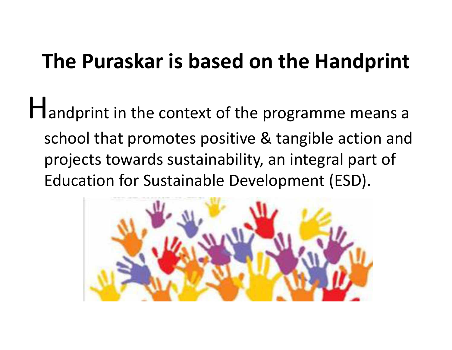### **The Puraskar is based on the Handprint**

Handprint in the context of the programme means a school that promotes positive & tangible action and projects towards sustainability, an integral part of Education for Sustainable Development (ESD).

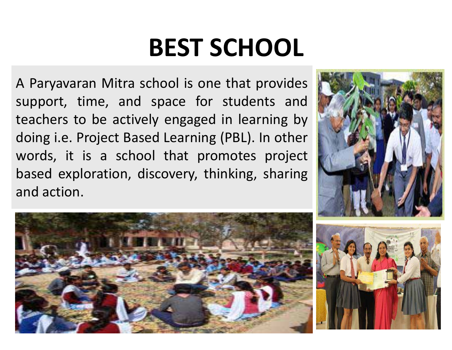## **BEST SCHOOL**

A Paryavaran Mitra school is one that provides support, time, and space for students and teachers to be actively engaged in learning by doing i.e. Project Based Learning (PBL). In other words, it is a school that promotes project based exploration, discovery, thinking, sharing and action.





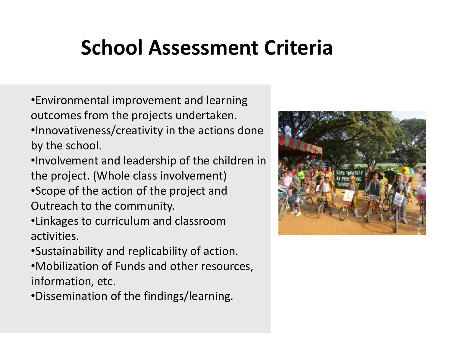#### **School Assessment Criteria**  .

- Environmental improvement and learning outcomes from the projects undertaken. Innovativeness/creativity in the actions done by the school.
- Involvement and leadership of the children in the project. (Whole class involvement)
- Scope of the action of the project and Outreach to the community.
- Linkages to curriculum and classroom activities.
- Sustainability and replicability of action.
- Mobilization of Funds and other resources, information, etc.
- Dissemination of the findings/learning.

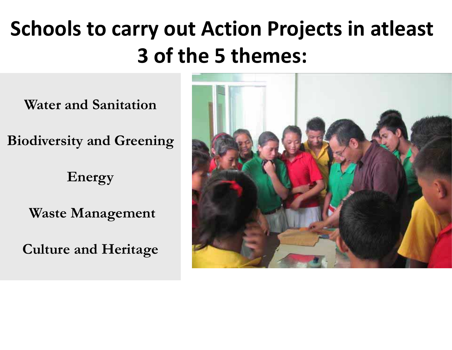### **Schools to carry out Action Projects in atleast 3 of the 5 themes:**

**Water and Sanitation** 

**Biodiversity and Greening** 

**Energy** 

 **Waste Management** 

**Culture and Heritage** 

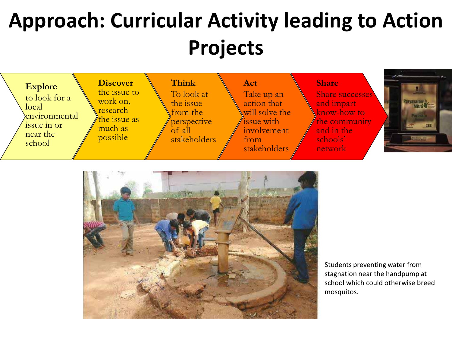### **Approach: Curricular Activity leading to Action Projects**





Students preventing water from stagnation near the handpump at school which could otherwise breed mosquitos.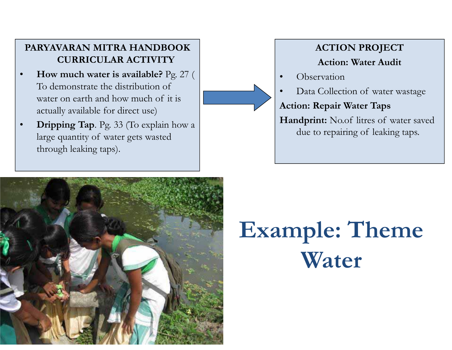#### **PARYAVARAN MITRA HANDBOOK CURRICULAR ACTIVITY**

- $\bullet$  **How much water is available?** Pg. 27 ( To demonstrate the distribution of water on earth and how much of it is actually available for direct use)
- $\bullet$  **Dripping Tap**. Pg. 33 (To explain how a large quantity of water gets wasted through leaking taps).

#### **ACTION PROJECT Action: Water Audit**

0 **Observation** 

0

Data Collection of water wastage

**Action: Repair Water Taps** 

**Handprint:** No.of litres of water saved due to repairing of leaking taps.



### **Example: Theme Water**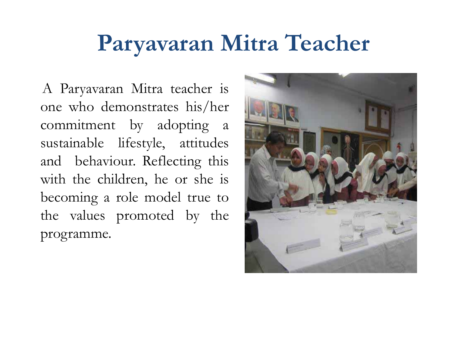### **Paryavaran Mitra Teacher**

 A Paryavaran Mitra teacher is one who demonstrates his/her commitment by adopting a sustainable lifestyle, attitudes and behaviour. Reflecting this with the children, he or she is becoming a role model true to the values promoted by the programme.

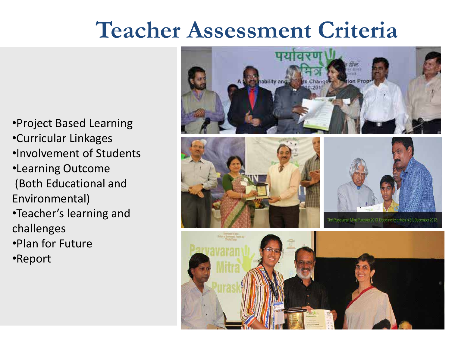### **Teacher Assessment Criteria**

Project Based Learning Curricular Linkages Involvement of Students<sup>®</sup> Learning Outcome (Both Educational and Environmental)

- •Teacher's learning and challenges
- Plan for Future
- Report

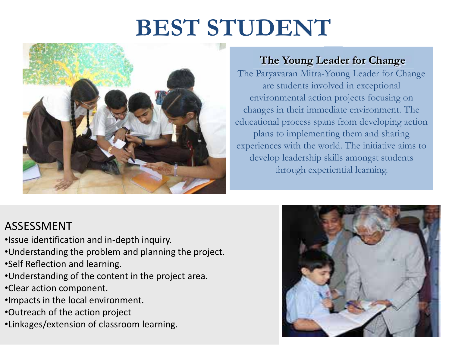### **BEST STUDENT**



#### **The Young Leader for Change**

The Paryavaran Mitra-Young Leader for Change are students involved in exceptional environmental action projects focusing on changes in their immediate environment. The educational process spans from developing action plans to implementing them and sharing experiences with the world. The initiative aims to develop leadership skills amongst students through experiential learning.

#### ASSESSMENT

- Issue identification and in-depth inquiry.
- Understanding the problem and planning the project.
- Self Reflection and learning.
- Understanding of the content in the project area.
- Clear action component.
- Impacts in the local environment.
- Outreach of the action project
- Linkages/extension of classroom learning.

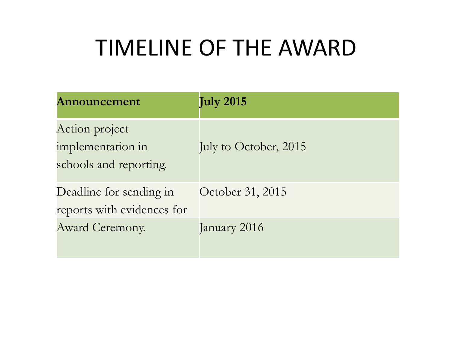### TIMELINE OF THE AWARD

| Announcement                                                  | <b>July 2015</b>      |
|---------------------------------------------------------------|-----------------------|
| Action project<br>implementation in<br>schools and reporting. | July to October, 2015 |
| Deadline for sending in<br>reports with evidences for         | October 31, 2015      |
| <b>Award Ceremony.</b>                                        | January 2016          |